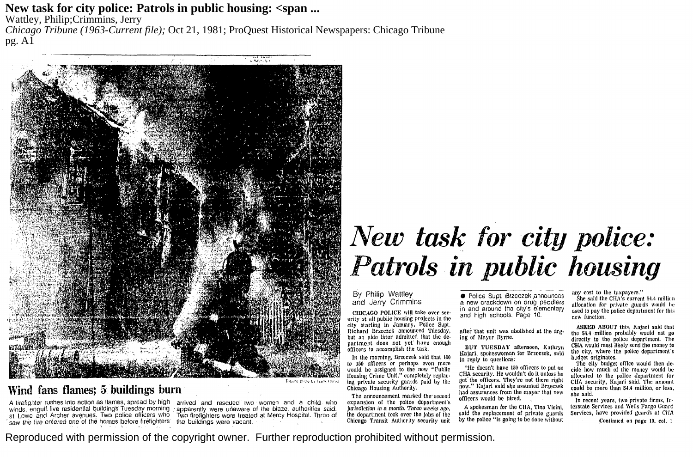**New task for city police: Patrols in public housing: <span ...**

Wattley, Philip;Crimmins, Jerry

*Chicago Tribune (1963-Current file);* Oct 21, 1981; ProQuest Historical Newspapers: Chicago Tribune pg. A1



## **Wind fans flames; 5 buildings burn**

A firefighter rushes into action as flames, spread by high arrived and rescued two women and a child. who winds, engulf five residential buildings Tuesday morning - apparently were unaware of the blaze, authorities said.<br>at Lowe and Archer avenues. Two police officers who Two firefighters were treated at Mercy Hospital. Three

## *New task for city police: Patrols in public housing*

By Philip Wattley and Jerry Crimmins

CHICAGO POLICE will take over security at all public housing projects in the city starting in January, Police Supt. Richard Brzeczek announced Tuesday, but an nldc later admitted that the department docs not ycf have enough officers to accomplish the task.

In the morning, Brzcczck said that 100 to 150 officers or perhaps even more would be assigned to the new "Public Housing Crime Unit," completely replac· Ing private security guards paid by the Chicago Housing Authority.

The announcement marked the second expansion of the police department's jurisdiction in a month. Three weeks ago, the department took over the Jobs of the Chicago Transit Authority security unit

• Police Supt. Brzeczek ,announces a new crackdown on drug peddlers in and around the city's elementary and high schools. Page 10.

after that unit was abolished at the urging of Mayor Byrne.

BUT TUESDAY afternoon, Kathryn Kajari, spokeswoman for Brzeczek, said in reply to questions:

''lie doesn't have 150 officers to put on CHA security. He wouldn't do it unless he got' the ofllcers. They're nut there right now." Kajari said she assumed Brzeczek had assurances from the mayor that new officers would be hired.

A spokesman for the CHA, Tina Vicini, said the replacement of private guards by the police "is going to be done without any cost to the taxpayers."

She said the CHA's current \$4.4 million allocation for private guards would be used lo pay the police department for this new function.

ASKED ABOUT this, Kajari said that the \$4.4 million probably would not go directly to tho police department. The CHA would most likely send the money to the city, where the police department's budget originates.

The city budget office would then decide bow much of the money would be allocated to the police department for CHA security, Kajari said. The amount could be more than \$4.4 million, or less, she said.

Jn recent years, two private firms, In· terstate Services and Wells Fargo Guard Services, have provided guards at CHA

Continued on page 10, col, 1

Reproduced with permission of the copyright owner. Further reproduction prohibited without permission.